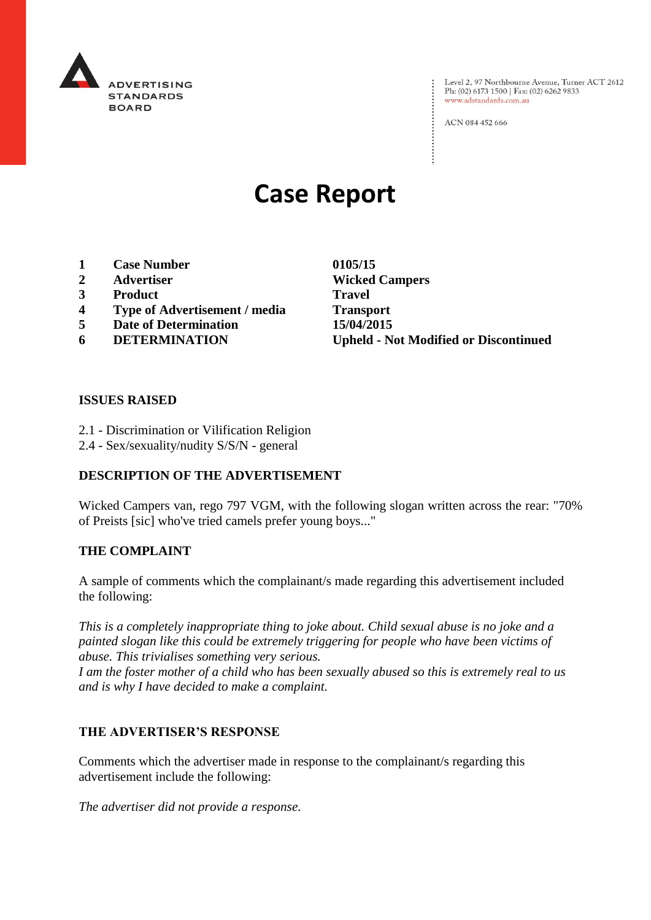

: Level 2, 97 Northbourne Avenue, Turner ACT 2612<br>: Ph: (02) 6173 1500 | Fax: (02) 6262 9833 Ph: (02) 6173 1500 | Fax: (02) 6262 9833 www.adstandards.com.au

ACN 084 452 666

# **Case Report**

- **1 Case Number 0105/15**
- 
- **3 Product Travel**
- **4 Type of Advertisement / media Transport**
- **5 Date of Determination 15/04/2015**
- 

**2 Advertiser Wicked Campers 6 DETERMINATION Upheld - Not Modified or Discontinued**

 $\vdots$ 

#### **ISSUES RAISED**

- 2.1 Discrimination or Vilification Religion
- 2.4 Sex/sexuality/nudity S/S/N general

## **DESCRIPTION OF THE ADVERTISEMENT**

Wicked Campers van, rego 797 VGM, with the following slogan written across the rear: "70% of Preists [sic] who've tried camels prefer young boys..."

### **THE COMPLAINT**

A sample of comments which the complainant/s made regarding this advertisement included the following:

*This is a completely inappropriate thing to joke about. Child sexual abuse is no joke and a painted slogan like this could be extremely triggering for people who have been victims of abuse. This trivialises something very serious.*

*I am the foster mother of a child who has been sexually abused so this is extremely real to us and is why I have decided to make a complaint.*

### **THE ADVERTISER'S RESPONSE**

Comments which the advertiser made in response to the complainant/s regarding this advertisement include the following:

*The advertiser did not provide a response.*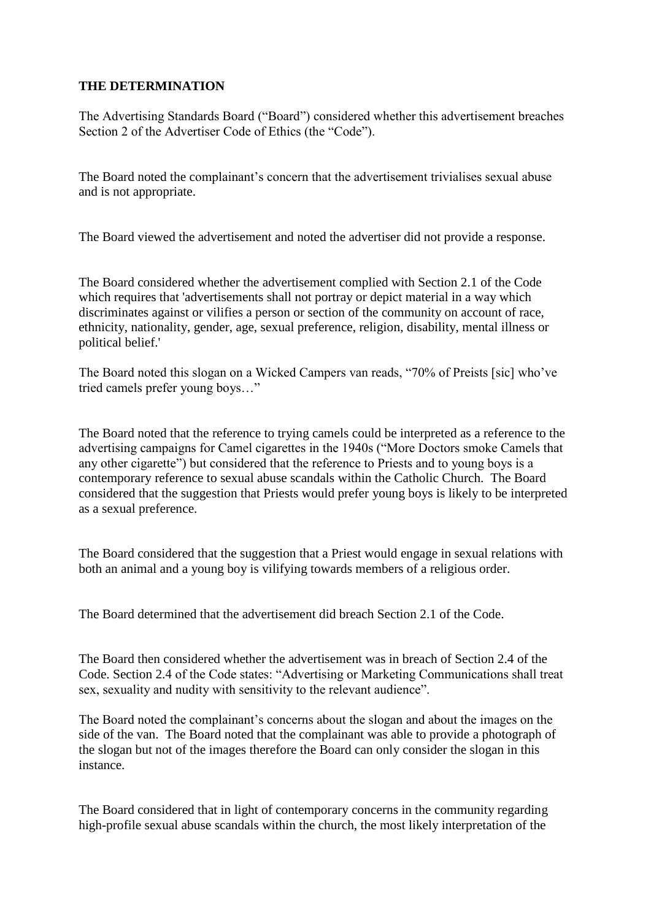## **THE DETERMINATION**

The Advertising Standards Board ("Board") considered whether this advertisement breaches Section 2 of the Advertiser Code of Ethics (the "Code").

The Board noted the complainant's concern that the advertisement trivialises sexual abuse and is not appropriate.

The Board viewed the advertisement and noted the advertiser did not provide a response.

The Board considered whether the advertisement complied with Section 2.1 of the Code which requires that 'advertisements shall not portray or depict material in a way which discriminates against or vilifies a person or section of the community on account of race, ethnicity, nationality, gender, age, sexual preference, religion, disability, mental illness or political belief.'

The Board noted this slogan on a Wicked Campers van reads, "70% of Preists [sic] who've tried camels prefer young boys…"

The Board noted that the reference to trying camels could be interpreted as a reference to the advertising campaigns for Camel cigarettes in the 1940s ("More Doctors smoke Camels that any other cigarette") but considered that the reference to Priests and to young boys is a contemporary reference to sexual abuse scandals within the Catholic Church. The Board considered that the suggestion that Priests would prefer young boys is likely to be interpreted as a sexual preference.

The Board considered that the suggestion that a Priest would engage in sexual relations with both an animal and a young boy is vilifying towards members of a religious order.

The Board determined that the advertisement did breach Section 2.1 of the Code.

The Board then considered whether the advertisement was in breach of Section 2.4 of the Code. Section 2.4 of the Code states: "Advertising or Marketing Communications shall treat sex, sexuality and nudity with sensitivity to the relevant audience".

The Board noted the complainant's concerns about the slogan and about the images on the side of the van. The Board noted that the complainant was able to provide a photograph of the slogan but not of the images therefore the Board can only consider the slogan in this instance.

The Board considered that in light of contemporary concerns in the community regarding high-profile sexual abuse scandals within the church, the most likely interpretation of the